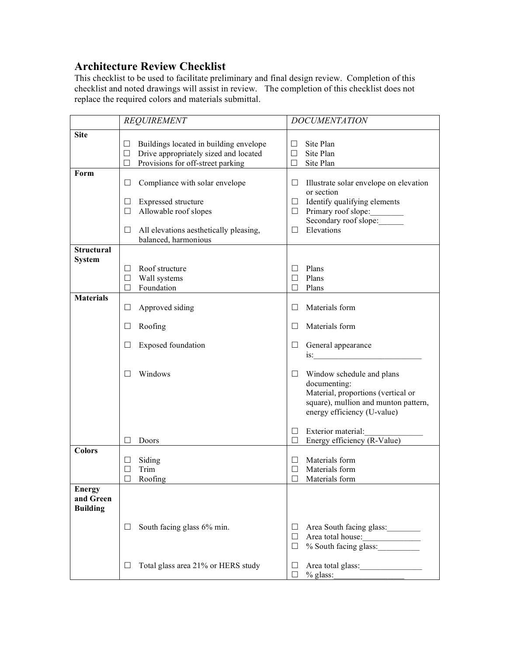## **Architecture Review Checklist**

This checklist to be used to facilitate preliminary and final design review. Completion of this checklist and noted drawings will assist in review. The completion of this checklist does not replace the required colors and materials submittal.

|                                               | <b>REQUIREMENT</b>                                                                                                                       | <b>DOCUMENTATION</b>                                                                                                                                        |
|-----------------------------------------------|------------------------------------------------------------------------------------------------------------------------------------------|-------------------------------------------------------------------------------------------------------------------------------------------------------------|
| <b>Site</b>                                   | Buildings located in building envelope<br>⊔<br>Drive appropriately sized and located<br>$\Box$<br>Provisions for off-street parking<br>□ | Site Plan<br>Site Plan<br>Site Plan<br>$\Box$                                                                                                               |
| Form                                          | Compliance with solar envelope<br>⊔<br>Expressed structure<br>⊔                                                                          | Illustrate solar envelope on elevation<br>⊔<br>or section<br>Identify qualifying elements<br>$\Box$                                                         |
|                                               | Allowable roof slopes<br>□<br>All elevations aesthetically pleasing,<br>ப<br>balanced, harmonious                                        | Primary roof slope:<br>$\Box$<br>Secondary roof slope:<br>Elevations<br>$\Box$                                                                              |
| <b>Structural</b><br><b>System</b>            | Roof structure<br>ப<br>Wall systems<br>$\Box$<br>Foundation<br>п                                                                         | Plans<br>$\mathsf{L}$<br>Plans<br>П<br>Plans<br>П                                                                                                           |
| <b>Materials</b>                              | $\Box$<br>Approved siding                                                                                                                | Materials form<br>П                                                                                                                                         |
|                                               | Roofing<br>⊔                                                                                                                             | Materials form<br>$\perp$                                                                                                                                   |
|                                               | <b>Exposed foundation</b><br>Ш                                                                                                           | General appearance<br>⊔                                                                                                                                     |
|                                               | Windows<br>H                                                                                                                             | Window schedule and plans<br>Ш<br>documenting:<br>Material, proportions (vertical or<br>square), mullion and munton pattern,<br>energy efficiency (U-value) |
|                                               | Doors                                                                                                                                    | Exterior material:<br>$\Box$<br>Energy efficiency (R-Value)<br>$\Box$                                                                                       |
| <b>Colors</b>                                 | Siding<br>⊔<br>Trim<br>Roofing                                                                                                           | Materials form<br>Ш<br>Materials form<br>$\Box$<br>Materials form<br>$\Box$                                                                                 |
| <b>Energy</b><br>and Green<br><b>Building</b> |                                                                                                                                          |                                                                                                                                                             |
|                                               | South facing glass 6% min.                                                                                                               | Area South facing glass:<br>ш<br>Area total house:<br>ш<br>% South facing glass:<br>$\Box$                                                                  |
|                                               | Total glass area 21% or HERS study                                                                                                       | ⊔<br>$%$ glass:<br>ш                                                                                                                                        |